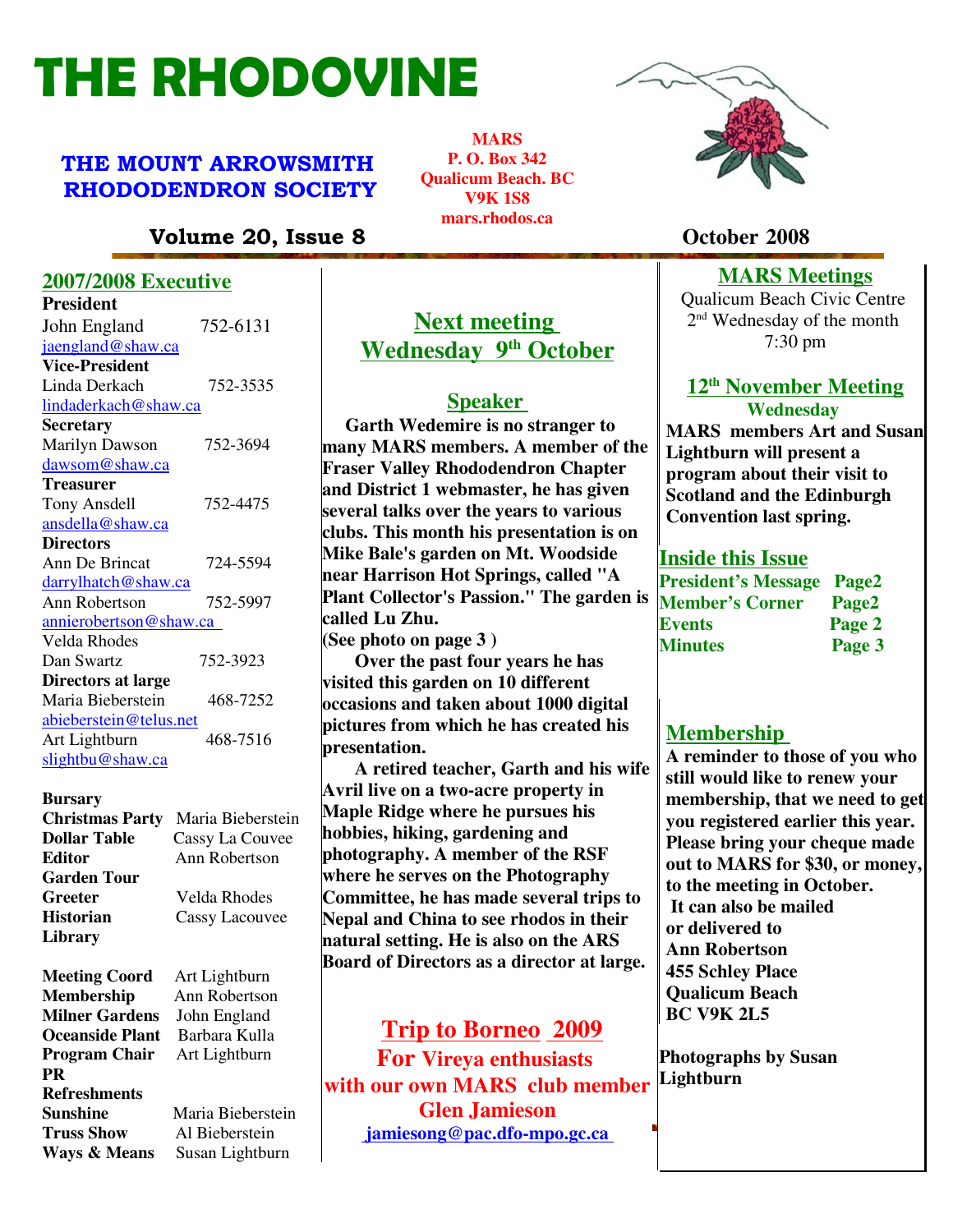# THE RHODOVINE

# THE MOUNT ARROWSMITH RHODODENDRON SOCIETY

**MARS P. O. Box 342 Qualicum Beach. BC V9K 1S8 mars.rhodos.ca**

# Volume 20, Issue 8 **October 2008**

#### **2007/2008 Executive**

| <b>President</b>              |          |
|-------------------------------|----------|
| John England                  | 752-6131 |
| jaengland@shaw.ca             |          |
| <b>Vice-President</b>         |          |
| Linda Derkach                 | 752-3535 |
| lindaderkach@shaw.ca          |          |
| <b>Secretary</b>              |          |
| Marilyn Dawson                | 752-3694 |
| dawsom@shaw.ca                |          |
| <b>Treasurer</b>              |          |
| <b>Tony Ansdell</b>           | 752-4475 |
| ansdella@shaw.ca              |          |
| <b>Directors</b>              |          |
| Ann De Brincat                | 724-5594 |
| darrylhatch@shaw.ca           |          |
| Ann Robertson                 | 752-5997 |
| <u>annierobertson@shaw.ca</u> |          |
| Velda Rhodes                  |          |
| Dan Swartz                    | 752-3923 |
| Directors at large            |          |
| Maria Bieberstein             | 468-7252 |
| abieberstein@telus.net        |          |
| Art Lightburn                 | 468-7516 |
| slightbu@shaw.ca              |          |

#### **Bursary**

| <b>Christmas Party</b> | Maria Bieberstein     |
|------------------------|-----------------------|
| <b>Dollar Table</b>    | Cassy La Couvee       |
| <b>Editor</b>          | Ann Robertson         |
| <b>Garden Tour</b>     |                       |
| Greeter                | Velda Rhodes          |
| <b>Historian</b>       | <b>Cassy Lacouvee</b> |
| <b>Library</b>         |                       |

**Meeting Coord** Art Lightburn **Membership** Ann Robertson **Milner Gardens** John England **Oceanside Plant** Barbara Kulla **Program Chair** Art Lightburn **PR Refreshments Truss Show** Al Bieberstein

**Value 3 Show and Philodoxical Patients 2018 2** *gammesong* **&** *pacturo-mporgeted* **Sunshine** Maria Bieberstein

# **Next meeting Wednesday 9th October**

#### **Speaker**

 **Garth Wedemire is no stranger to many MARS members. A member of the Fraser Valley Rhododendron Chapter and District 1 webmaster, he has given several talks over the years to various clubs. This month his presentation is on Mike Bale's garden on Mt. Woodside near Harrison Hot Springs, called "A Plant Collector's Passion." The garden is called Lu Zhu.**

**(See photo on page 3 )**

 **Over the past four years he has visited this garden on 10 different occasions and taken about 1000 digital pictures from which he has created his presentation.**

 **A retired teacher, Garth and his wife Avril live on a two-acre property in Maple Ridge where he pursues his hobbies, hiking, gardening and photography. A member of the RSF where he serves on the Photography Committee, he has made several trips to Nepal and China to see rhodos in their natural setting. He is also on the ARS Board of Directors as a director at large.** 

# **Trip to Borneo 2009**

**For Vireya enthusiasts Page 20. In Section 2.1 Assume 3 The Caucasist Clen Jamieson with our own MARS club member jamiesong@pac.dfo-mpo.gc.ca** 



## **MARS Meetings**

Qualicum Beach Civic Centre 2 nd Wednesday of the month 7:30 pm

#### **12 th November Meeting Wednesday**

**MARS members Art and Susan Lightburn will present a program about their visit to Scotland and the Edinburgh Convention last spring.** 

#### **Inside this Issue**

| <b>President's Message Page2</b> |        |
|----------------------------------|--------|
| <b>Member's Corner</b>           | Page2  |
| Events                           | Page 2 |
| <b>Minutes</b>                   | Page 3 |

#### **Membership**

**A reminder to those of you who still would like to renew your membership, that we need to get you registered earlier this year. Please bring your cheque made out to MARS for \$30, or money, to the meeting in October. It can also be mailed or delivered to Ann Robertson 455 Schley Place Qualicum Beach BC V9K 2L5**

**Photographs by Susan Lightburn**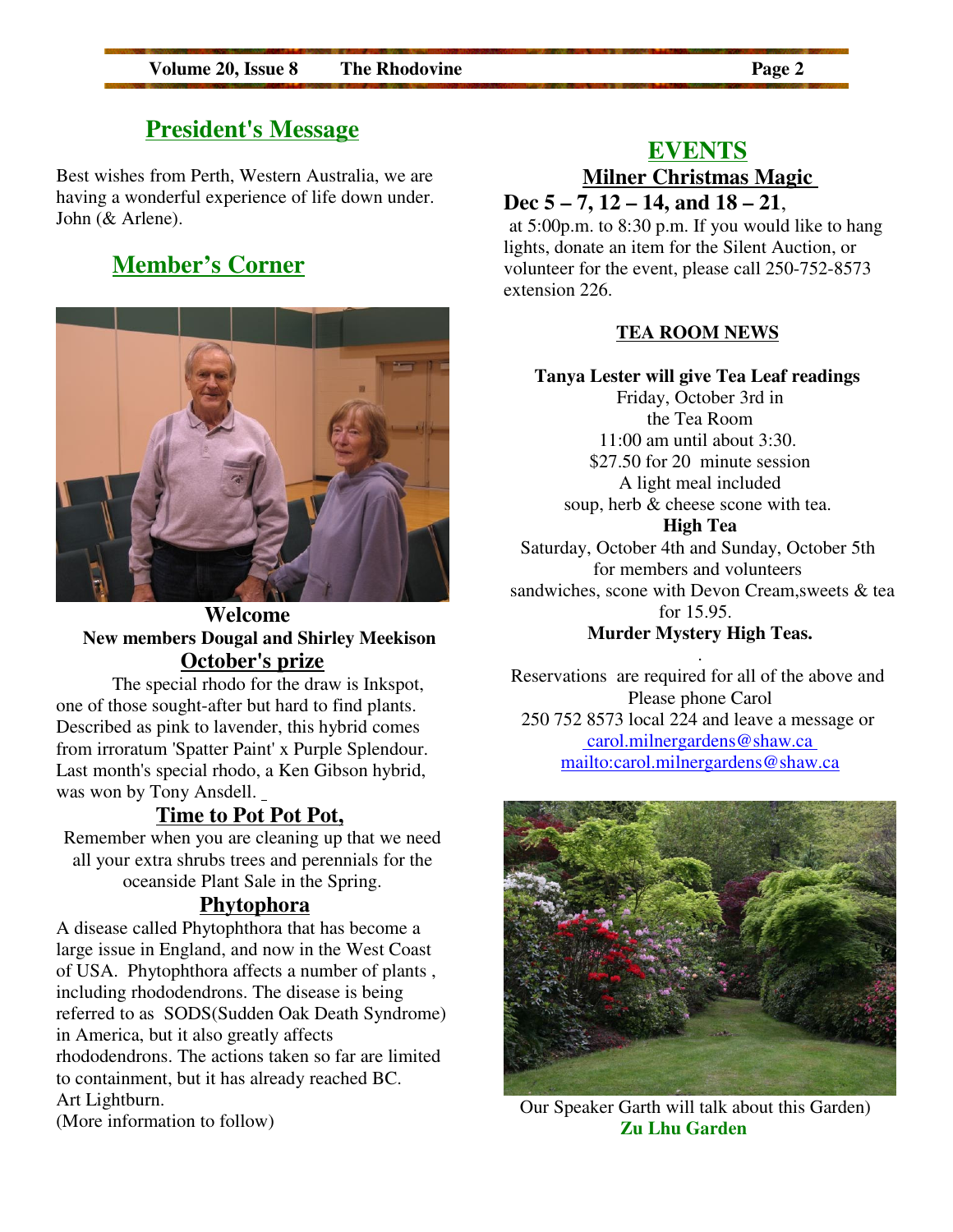# **President's Message**

Best wishes from Perth, Western Australia, we are having a wonderful experience of life down under. John (& Arlene).

# **Member's Corner**



### **Welcome New members Dougal and Shirley Meekison October's prize**

The special rhodo for the draw is Inkspot, one of those sought-after but hard to find plants. Described as pink to lavender, this hybrid comes from irroratum 'Spatter Paint' x Purple Splendour. Last month's special rhodo, a Ken Gibson hybrid, was won by Tony Ansdell.

# **Time to Pot Pot Pot,**

Remember when you are cleaning up that we need all your extra shrubs trees and perennials for the oceanside Plant Sale in the Spring.

#### **Phytophora**

A disease called Phytophthora that has become a large issue in England, and now in the West Coast of USA. Phytophthora affects a number of plants , including rhododendrons. The disease is being referred to as SODS(Sudden Oak Death Syndrome) in America, but it also greatly affects rhododendrons. The actions taken so far are limited to containment, but it has already reached BC. Art Lightburn. (More information to follow)

#### **EVENTS**

# **Milner Christmas Magic Dec 5 – 7, 12 – 14, and 18 – 21**,

at 5:00p.m. to 8:30 p.m. If you would like to hang lights, donate an item for the Silent Auction, or volunteer for the event, please call 250-752-8573 extension 226.

#### **TEA ROOM NEWS**

**Tanya Lester will give Tea Leaf readings** Friday, October 3rd in the Tea Room 11:00 am until about 3:30. \$27.50 for 20 minute session A light meal included soup, herb & cheese scone with tea. **High Tea** Saturday, October 4th and Sunday, October 5th for members and volunteers sandwiches, scone with Devon Cream,sweets & tea for 15.95. **Murder Mystery High Teas.**

. Reservations are required for all of the above and Please phone Carol 250 752 8573 local 224 and leave a message or carol.milnergardens@shaw.ca mailto:carol.milnergardens@shaw.ca



Our Speaker Garth will talk about this Garden)  **Zu Lhu Garden**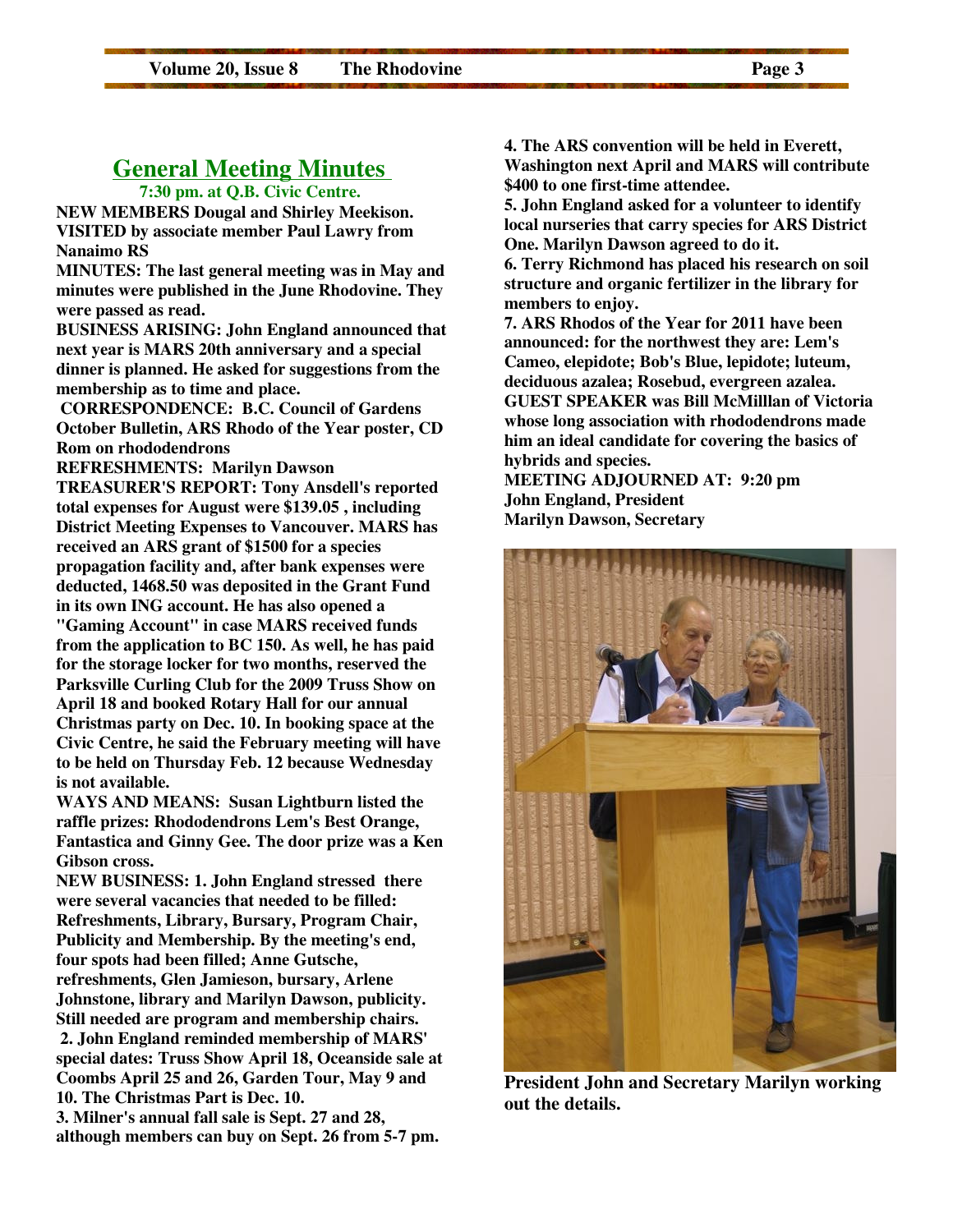# **General Meeting Minutes**

 **7:30 pm. at Q.B. Civic Centre.** 

**NEW MEMBERS Dougal and Shirley Meekison. VISITED by associate member Paul Lawry from Nanaimo RS**

**MINUTES: The last general meeting was in May and minutes were published in the June Rhodovine. They were passed as read.**

**BUSINESS ARISING: John England announced that next year is MARS 20th anniversary and a special dinner is planned. He asked for suggestions from the membership as to time and place.** 

 **CORRESPONDENCE: B.C. Council of Gardens October Bulletin, ARS Rhodo of the Year poster, CD Rom on rhododendrons** 

**REFRESHMENTS: Marilyn Dawson**

**TREASURER'S REPORT: Tony Ansdell's reported total expenses for August were \$139.05 , including District Meeting Expenses to Vancouver. MARS has received an ARS grant of \$1500 for a species propagation facility and, after bank expenses were deducted, 1468.50 was deposited in the Grant Fund in its own ING account. He has also opened a "Gaming Account" in case MARS received funds from the application to BC 150. As well, he has paid for the storage locker for two months, reserved the Parksville Curling Club for the 2009 Truss Show on April 18 and booked Rotary Hall for our annual Christmas party on Dec. 10. In booking space at the Civic Centre, he said the February meeting will have to be held on Thursday Feb. 12 because Wednesday is not available.** 

**WAYS AND MEANS: Susan Lightburn listed the raffle prizes: Rhododendrons Lem's Best Orange, Fantastica and Ginny Gee. The door prize was a Ken Gibson cross.**

**NEW BUSINESS: 1. John England stressed there were several vacancies that needed to be filled: Refreshments, Library, Bursary, Program Chair, Publicity and Membership. By the meeting's end, four spots had been filled; Anne Gutsche, refreshments, Glen Jamieson, bursary, Arlene Johnstone, library and Marilyn Dawson, publicity. Still needed are program and membership chairs. 2. John England reminded membership of MARS' special dates: Truss Show April 18, Oceanside sale at Coombs April 25 and 26, Garden Tour, May 9 and 10. The Christmas Part is Dec. 10. 3. Milner's annual fall sale is Sept. 27 and 28, although members can buy on Sept. 26 from 5-7 pm.** 

**4. The ARS convention will be held in Everett, Washington next April and MARS will contribute \$400 to one first-time attendee.** 

**5. John England asked for a volunteer to identify local nurseries that carry species for ARS District One. Marilyn Dawson agreed to do it.**

**6. Terry Richmond has placed his research on soil structure and organic fertilizer in the library for members to enjoy.**

**7. ARS Rhodos of the Year for 2011 have been announced: for the northwest they are: Lem's Cameo, elepidote; Bob's Blue, lepidote; luteum, deciduous azalea; Rosebud, evergreen azalea. GUEST SPEAKER was Bill McMilllan of Victoria whose long association with rhododendrons made him an ideal candidate for covering the basics of hybrids and species.** 

**MEETING ADJOURNED AT: 9:20 pm John England, President Marilyn Dawson, Secretary**



**President John and Secretary Marilyn working out the details.**